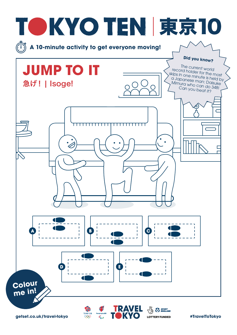

**TFAM GB**